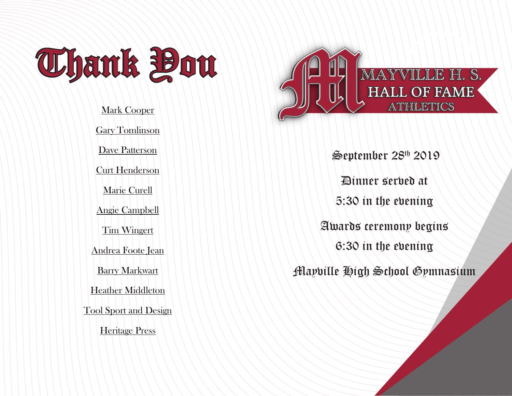

Mark Cooper Gary Tomlinson Dave Patterson Curt Henderson Marie Curell Angie Campbell Tim Wingert Andrea Foote Jean Barry Markwart Heather Middleton Tool Sport and Design Heritage Press



 September 28th 2019 Dinner served at 5:30 in the evening Awards ceremony begins 6:30 in the evening Mayville High School Gymnasium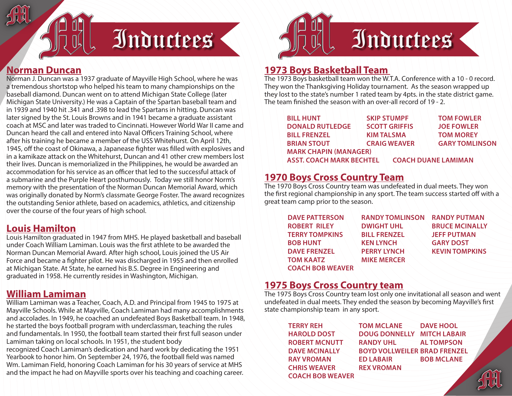

#### **Norman Duncan**

Norman J. Duncan was a 1937 graduate of Mayville High School, where he was a tremendous shortstop who helped his team to many championships on the baseball diamond. Duncan went on to attend Michigan State College (later Michigan State University.) He was a Captain of the Spartan baseball team and in 1939 and 1940 hit .341 and .398 to lead the Spartans in hitting. Duncan was later signed by the St. Louis Browns and in 1941 became a graduate assistant coach at MSC and later was traded to Cincinnati. However World War II came and Duncan heard the call and entered into Naval Officers Training School, where after his training he became a member of the USS Whitehurst. On April 12th, 1945, off the coast of Okinawa, a Japanease fighter was filled with explosives and in a kamikaze attack on the Whitehurst, Duncan and 41 other crew members lost their lives. Duncan is memorialized in the Philippines, he would be awarded an accommodation for his service as an officer that led to the successful attack of a submarine and the Purple Heart posthumously. Today we still honor Norm's memory with the presentation of the Norman Duncan Memorial Award, which was originally donated by Norm's classmate George Foster. The award recognizes the outstanding Senior athlete, based on academics, athletics, and citizenship over the course of the four years of high school.

#### **Louis Hamilton**

Louis Hamilton graduated in 1947 from MHS. He played basketball and baseball under Coach William Lamiman. Louis was the first athlete to be awarded the Norman Duncan Memorial Award. After high school, Louis joined the US Air Force and became a fighter pilot. He was discharged in 1955 and then enrolled at Michigan State. At State, he earned his B.S. Degree in Engineering and graduated in 1958. He currently resides in Washington, Michigan.

#### **William Lamiman**

William Lamiman was a Teacher, Coach, A.D. and Principal from 1945 to 1975 at Mayville Schools. While at Mayville, Coach Lamiman had many accomplishments and accolades. In 1949, he coached an undefeated Boys Basketball team. In 1948, he started the boys football program with underclassman, teaching the rules and fundamentals. In 1950, the football team started their first full season under Lamiman taking on local schools. In 1951, the student body

recognized Coach Lamiman's dedication and hard work by dedicating the 1951 Yearbook to honor him. On September 24, 1976, the football field was named Wm. Lamiman Field, honoring Coach Lamiman for his 30 years of service at MHS and the impact he had on Mayville sports over his teaching and coaching career.



# **1973 Boys Basketball Team**

The 1973 Boys basketball team won the W.T.A. Conference with a 10 - 0 record. They won the Thanksgiving Holiday tournament. As the season wrapped up they lost to the state's number 1 rated team by 4pts. in the state district game. The team finished the season with an over-all record of 19 - 2.

| <b>BILL HUNT</b>                | <b>SKIP STUMPF</b>   | <b>TOM FOWLER</b>          |
|---------------------------------|----------------------|----------------------------|
| <b>DONALD RUTLEDGE</b>          | <b>SCOTT GRIFFIS</b> | <b>JOE FOWLER</b>          |
| <b>BILL FRENZEL</b>             | <b>KIM TALSMA</b>    | <b>TOM MOREY</b>           |
| <b>BRIAN STOUT</b>              | <b>CRAIG WEAVER</b>  | <b>GARY TOMLINSON</b>      |
| <b>MARK CHAPIN (MANAGER)</b>    |                      |                            |
| <b>ASST. COACH MARK BECHTEL</b> |                      | <b>COACH DUANE LAMIMAN</b> |

# **1970 Boys Cross Country Team**

The 1970 Boys Cross Country team was undefeated in dual meets. They won the first regional championship in any sport. The team success started off with a great team camp prior to the season.

| <b>DAVE PATTERSON</b>   | <b>RANDY TOMLINSON</b> | <b>RANDY PUTMAN</b>   |
|-------------------------|------------------------|-----------------------|
| <b>ROBERT RILEY</b>     | <b>DWIGHT UHL</b>      | <b>BRUCE MCINALLY</b> |
| <b>TERRY TOMPKINS</b>   | <b>BILL FRENZEL</b>    | <b>JEFF PUTMAN</b>    |
| <b>BOB HUNT</b>         | <b>KEN LYNCH</b>       | <b>GARY DOST</b>      |
| <b>DAVE FRENZEL</b>     | <b>PERRY LYNCH</b>     | <b>KEVIN TOMPKINS</b> |
| <b>TOM KAATZ</b>        | <b>MIKE MERCER</b>     |                       |
| <b>COACH BOB WEAVER</b> |                        |                       |

#### **1975 Boys Cross Country team**

The 1975 Boys Cross Country team lost only one invitational all season and went undefeated in dual meets. They ended the season by becoming Mayville's first state championship team in any sport.

| <b>TERRY REH</b>        | <b>TOM MCLANE</b>                   | <b>DAVE HOOL</b>  |
|-------------------------|-------------------------------------|-------------------|
| <b>HAROLD DOST</b>      | <b>DOUG DONNELLY MITCH LABAIR</b>   |                   |
| <b>ROBERT MCNUTT</b>    | <b>RANDY UHL</b>                    | <b>AL TOMPSON</b> |
| <b>DAVE MCINALLY</b>    | <b>BOYD VOLLWEILER BRAD FRENZEL</b> |                   |
| <b>RAY VROMAN</b>       | <b>ED LABAIR</b>                    | <b>BOB MCLANE</b> |
| <b>CHRIS WEAVER</b>     | <b>REX VROMAN</b>                   |                   |
| <b>COACH BOB WEAVER</b> |                                     |                   |
|                         |                                     |                   |

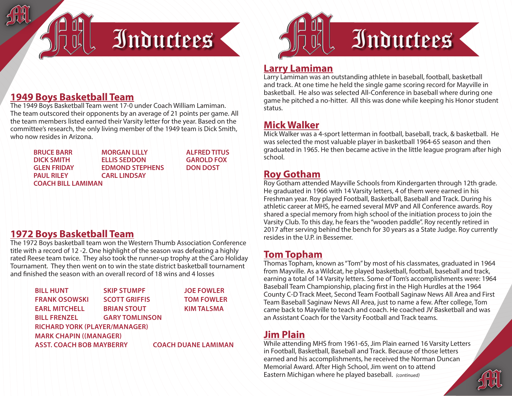

### **1949 Boys Basketball Team**

The 1949 Boys Basketball Team went 17-0 under Coach William Lamiman. The team outscored their opponents by an average of 21 points per game. All the team members listed earned their Varsity letter for the year. Based on the committee's research, the only living member of the 1949 team is Dick Smith, who now resides in Arizona.

| <b>BRUCE BARR</b>         | <b>MORGAN LILLY</b>    | <b>ALFRED TITUS</b> |  |
|---------------------------|------------------------|---------------------|--|
| <b>DICK SMITH</b>         | <b>ELLIS SEDDON</b>    | <b>GAROLD FOX</b>   |  |
| <b>GLEN FRIDAY</b>        | <b>EDMOND STEPHENS</b> | <b>DON DOST</b>     |  |
| <b>PAUL RILEY</b>         | <b>CARL LINDSAY</b>    |                     |  |
| <b>COACH BILL LAMIMAN</b> |                        |                     |  |

#### **1972 Boys Basketball Team**

The 1972 Boys basketball team won the Western Thumb Association Conference title with a record of 12 -2. One highlight of the season was defeating a highly rated Reese team twice. They also took the runner-up trophy at the Caro Holiday Tournament. They then went on to win the state district basketball tournament and finished the season with an overall record of 18 wins and 4 losses

| <b>BILL HUNT</b>                                              | <b>SKIP STUMPF</b>    | <b>JOE FOWLER</b> |  |  |
|---------------------------------------------------------------|-----------------------|-------------------|--|--|
| <b>FRANK OSOWSKI</b>                                          | <b>SCOTT GRIFFIS</b>  | <b>TOM FOWLER</b> |  |  |
| <b>EARL MITCHELL</b>                                          | <b>BRIAN STOUT</b>    | <b>KIM TALSMA</b> |  |  |
| <b>BILL FRENZEL</b>                                           | <b>GARY TOMLINSON</b> |                   |  |  |
| <b>RICHARD YORK (PLAYER/MANAGER)</b>                          |                       |                   |  |  |
| <b>MARK CHAPIN ((MANAGER)</b>                                 |                       |                   |  |  |
| <b>ASST. COACH BOB MAYBERRY</b><br><b>COACH DUANE LAMIMAN</b> |                       |                   |  |  |



#### **Larry Lamiman**

Larry Lamiman was an outstanding athlete in baseball, football, basketball and track. At one time he held the single game scoring record for Mayville in basketball. He also was selected All-Conference in baseball where during one game he pitched a no-hitter. All this was done while keeping his Honor student status.

# **Mick Walker**

Mick Walker was a 4-sport letterman in football, baseball, track, & basketball. He was selected the most valuable player in basketball 1964-65 season and then graduated in 1965. He then became active in the little league program after high school.

### **Roy Gotham**

Roy Gotham attended Mayville Schools from Kindergarten through 12th grade. He graduated in 1966 with 14 Varsity letters, 4 of them were earned in his Freshman year. Roy played Football, Basketball, Baseball and Track. During his athletic career at MHS, he earned several MVP and All Conference awards. Roy shared a special memory from high school of the initiation process to join the Varsity Club. To this day, he fears the "wooden paddle". Roy recently retired in 2017 after serving behind the bench for 30 years as a State Judge. Roy currently resides in the U.P. in Bessemer.

# **Tom Topham**

Thomas Topham, known as "Tom" by most of his classmates, graduated in 1964 from Mayville. As a Wildcat, he played basketball, football, baseball and track, earning a total of 14 Varsity letters. Some of Tom's accomplishments were: 1964 Baseball Team Championship, placing first in the High Hurdles at the 1964 County C-D Track Meet, Second Team Football Saginaw News All Area and First Team Baseball Saginaw News All Area, just to name a few. After college, Tom came back to Mayville to teach and coach. He coached JV Basketball and was an Assistant Coach for the Varsity Football and Track teams.

# **Jim Plain**

While attending MHS from 1961-65, Jim Plain earned 16 Varsity Letters in Football, Basketball, Baseball and Track. Because of those letters earned and his accomplishments, he received the Norman Duncan Memorial Award. After High School, Jim went on to attend Eastern Michigan where he played baseball. *(continued)*